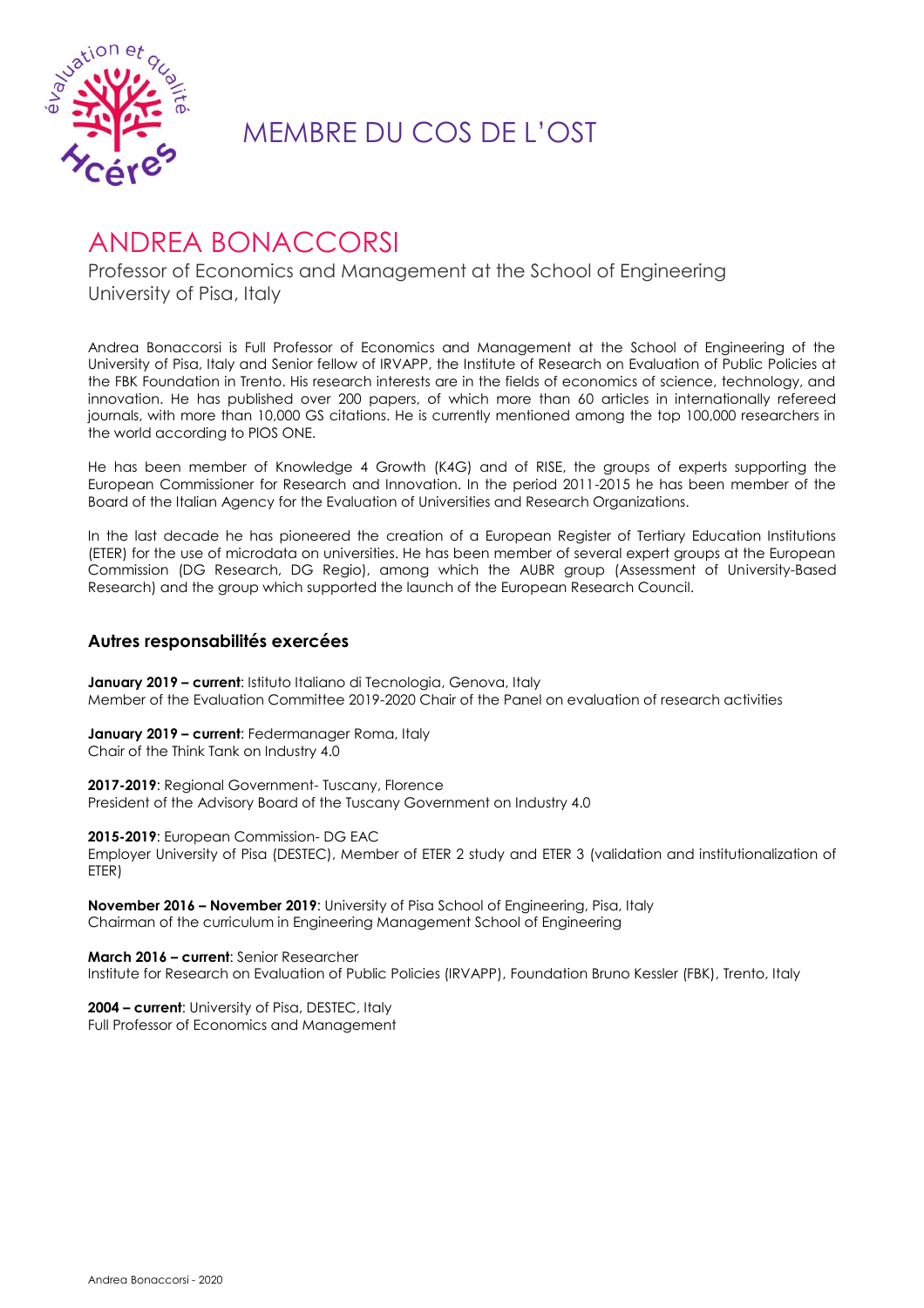

## MEMBRE DU COS DE L'OST

## ANDREA BONACCORSI

Professor of Economics and Management at the School of Engineering University of Pisa, Italy

Andrea Bonaccorsi is Full Professor of Economics and Management at the School of Engineering of the University of Pisa, Italy and Senior fellow of IRVAPP, the Institute of Research on Evaluation of Public Policies at the FBK Foundation in Trento. His research interests are in the fields of economics of science, technology, and innovation. He has published over 200 papers, of which more than 60 articles in internationally refereed journals, with more than 10,000 GS citations. He is currently mentioned among the top 100,000 researchers in the world according to PlOS ONE.

He has been member of Knowledge 4 Growth (K4G) and of RISE, the groups of experts supporting the European Commissioner for Research and Innovation. In the period 2011-2015 he has been member of the Board of the Italian Agency for the Evaluation of Universities and Research Organizations.

In the last decade he has pioneered the creation of a European Register of Tertiary Education Institutions (ETER) for the use of microdata on universities. He has been member of several expert groups at the European Commission (DG Research, DG Regio), among which the AUBR group (Assessment of University-Based Research) and the group which supported the launch of the European Research Council.

## **Autres responsabilités exercées**

**January 2019 – current**: Istituto Italiano di Tecnologia, Genova, Italy Member of the Evaluation Committee 2019-2020 Chair of the Panel on evaluation of research activities

**January 2019 – current**: Federmanager Roma, Italy Chair of the Think Tank on Industry 4.0

**2017-2019**: Regional Government- Tuscany, Florence President of the Advisory Board of the Tuscany Government on Industry 4.0

**2015-2019**: European Commission- DG EAC Employer University of Pisa (DESTEC), Member of ETER 2 study and ETER 3 (validation and institutionalization of ETER)

**November 2016 – November 2019**: University of Pisa School of Engineering, Pisa, Italy Chairman of the curriculum in Engineering Management School of Engineering

**March 2016 – current**: Senior Researcher Institute for Research on Evaluation of Public Policies (IRVAPP), Foundation Bruno Kessler (FBK), Trento, Italy

**2004 – current**: University of Pisa, DESTEC, Italy Full Professor of Economics and Management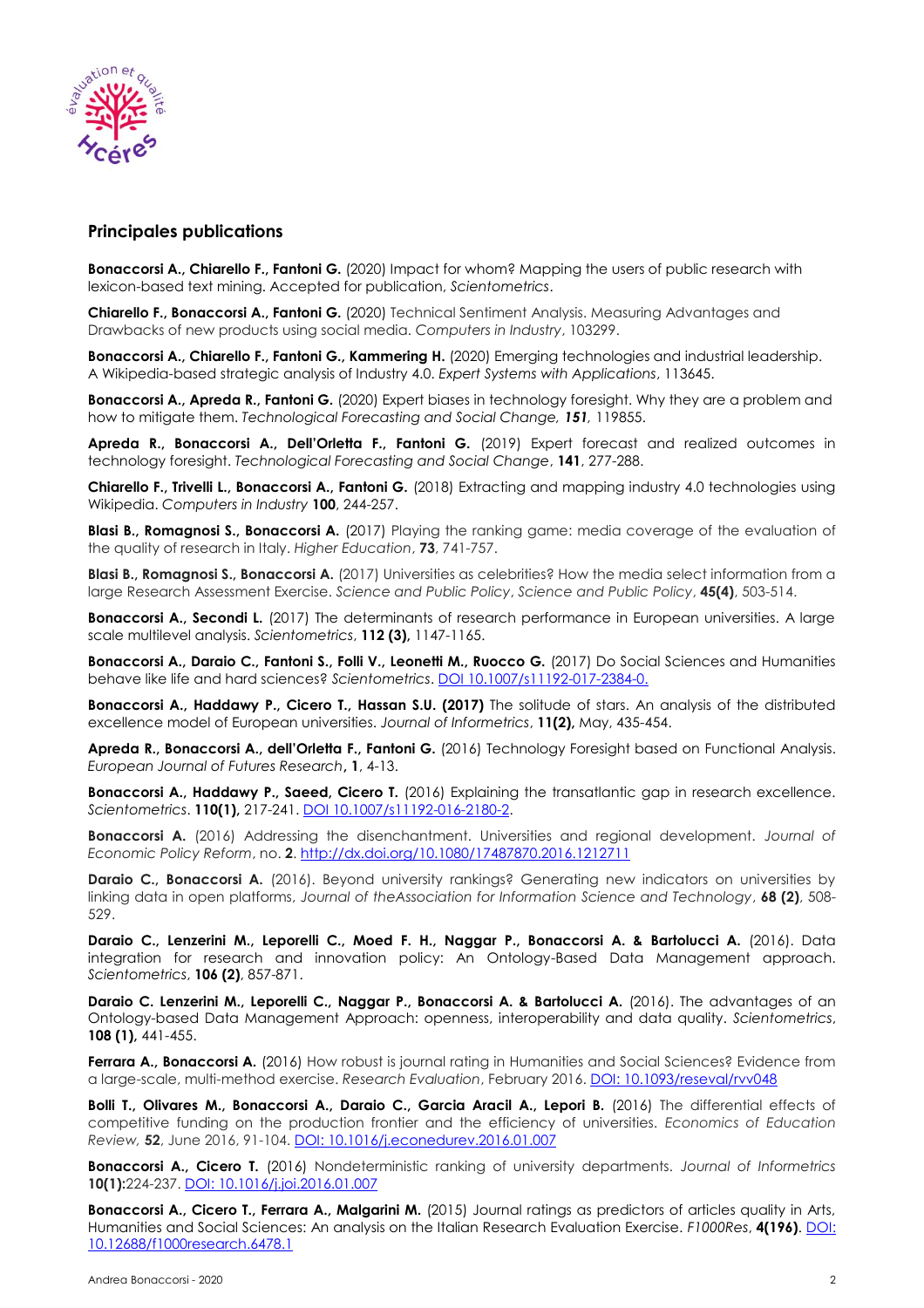

## **Principales publications**

**Bonaccorsi A., Chiarello F., Fantoni G.** (2020) Impact for whom? Mapping the users of public research with lexicon-based text mining. Accepted for publication, *Scientometrics*.

**Chiarello F., Bonaccorsi A., Fantoni G.** (2020) Technical Sentiment Analysis. Measuring Advantages and Drawbacks of new products using social media. *Computers in Industry*, 103299.

**Bonaccorsi A., Chiarello F., Fantoni G., Kammering H.** (2020) Emerging technologies and industrial leadership. A Wikipedia-based strategic analysis of Industry 4.0. *Expert Systems with Applications*, 113645.

**Bonaccorsi A., Apreda R., Fantoni G.** (2020) Expert biases in technology foresight. Why they are a problem and how to mitigate them. *Technological Forecasting and Social Change, 151,* 119855.

**Apreda R., Bonaccorsi A., Dell'Orletta F., Fantoni G.** (2019) Expert forecast and realized outcomes in technology foresight. *Technological Forecasting and Social Change*, **141**, 277-288.

**Chiarello F., Trivelli L., Bonaccorsi A., Fantoni G.** (2018) Extracting and mapping industry 4.0 technologies using Wikipedia. *Computers in Industry* **100**, 244-257.

**Blasi B., Romagnosi S., Bonaccorsi A.** (2017) Playing the ranking game: media coverage of the evaluation of the quality of research in Italy. *Higher Education*, **73**, 741-757.

**Blasi B., Romagnosi S., Bonaccorsi A.** (2017) Universities as celebrities? How the media select information from a large Research Assessment Exercise. *Science and Public Policy*, *Science and Public Policy*, **45(4)**, 503-514.

**Bonaccorsi A., Secondi L.** (2017) The determinants of research performance in European universities. A large scale multilevel analysis. *Scientometrics*, **112 (3),** 1147-1165.

**Bonaccorsi A., Daraio C., Fantoni S., Folli V., Leonetti M., Ruocco G.** (2017) Do Social Sciences and Humanities behave like life and hard sciences? *Scientometrics*. [DOI 10.1007/s11192-017-2384-0.](DOI%2010.1007/s11192-017-2384-0.)

**Bonaccorsi A., Haddawy P., Cicero T., Hassan S.U. (2017)** The solitude of stars. An analysis of the distributed excellence model of European universities. *Journal of Informetrics*, **11(2),** May, 435-454.

**Apreda R., Bonaccorsi A., dell'Orletta F., Fantoni G.** (2016) Technology Foresight based on Functional Analysis. *European Journal of Futures Research***, 1**, 4-13.

**Bonaccorsi A., Haddawy P., Saeed, Cicero T.** (2016) Explaining the transatlantic gap in research excellence. *Scientometrics*. **110(1),** 217-241. [DOI 10.1007/s11192-016-2180-2.](DOI%2010.1007/s11192-016-2180-2)

**Bonaccorsi A.** (2016) Addressing the disenchantment. Universities and regional development. *Journal of Economic Policy Reform*, no. **2**[. http://dx.doi.org/10.1080/17487870.2016.1212711](http://dx.doi.org/10.1080/17487870.2016.1212711)

**Daraio C., Bonaccorsi A.** (2016). Beyond university rankings? Generating new indicators on universities by linking data in open platforms, *Journal of theAssociation for Information Science and Technology*, **68 (2)**, 508- 529.

**Daraio C., Lenzerini M., Leporelli C., Moed F. H., Naggar P., Bonaccorsi A. & Bartolucci A.** (2016). Data integration for research and innovation policy: An Ontology-Based Data Management approach. *Scientometrics*, **106 (2)**, 857-871.

**Daraio C. Lenzerini M., Leporelli C., Naggar P., Bonaccorsi A. & Bartolucci A.** (2016). The advantages of an Ontology-based Data Management Approach: openness, interoperability and data quality. *Scientometrics*, **108 (1),** 441-455.

**Ferrara A., Bonaccorsi A.** (2016) How robust is journal rating in Humanities and Social Sciences? Evidence from a large-scale, multi-method exercise. *Research Evaluation*, February 2016. [DOI: 10.1093/reseval/rvv048](doi:%2010.1093/reseval/rvv048)

**Bolli T., Olivares M., Bonaccorsi A., Daraio C., Garcia Aracil A., Lepori B.** (2016) The differential effects of competitive funding on the production frontier and the efficiency of universities. *[Economics](http://www.sciencedirect.com/science/journal/02727757) of Education [Review,](http://www.sciencedirect.com/science/journal/02727757)* **52**, June 2016, 91-104[. DOI: 10.1016/j.econedurev.2016.01.007](doi:%2010.1016/j.econedurev.2016.01.007)

**Bonaccorsi A., Cicero T.** (2016) Nondeterministic ranking of university departments. *Journal of Informetrics*  **10(1):**224-237. [DOI: 10.1016/j.joi.2016.01.007](doi:%2010.1016/j.joi.2016.01.007)

**Bonaccorsi A., Cicero T., Ferrara A., Malgarini M.** (2015) Journal ratings as predictors of articles quality in Arts, Humanities and Social Sciences: An analysis on the Italian Research Evaluation Exercise. *F1000Res*, **4(196)**. [DOI:](doi:%2010.12688/f1000research.6478.1)  [10.12688/f1000research.6478.1](doi:%2010.12688/f1000research.6478.1)